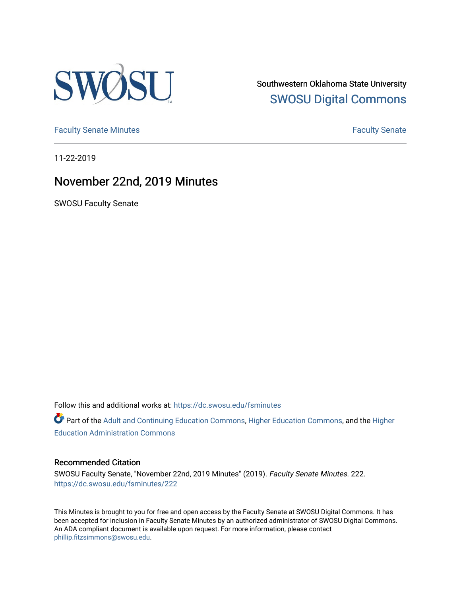

Southwestern Oklahoma State University [SWOSU Digital Commons](https://dc.swosu.edu/) 

[Faculty Senate Minutes](https://dc.swosu.edu/fsminutes) **Faculty** Senate Minutes

11-22-2019

## November 22nd, 2019 Minutes

SWOSU Faculty Senate

Follow this and additional works at: [https://dc.swosu.edu/fsminutes](https://dc.swosu.edu/fsminutes?utm_source=dc.swosu.edu%2Ffsminutes%2F222&utm_medium=PDF&utm_campaign=PDFCoverPages) 

Part of the [Adult and Continuing Education Commons,](http://network.bepress.com/hgg/discipline/1375?utm_source=dc.swosu.edu%2Ffsminutes%2F222&utm_medium=PDF&utm_campaign=PDFCoverPages) [Higher Education Commons,](http://network.bepress.com/hgg/discipline/1245?utm_source=dc.swosu.edu%2Ffsminutes%2F222&utm_medium=PDF&utm_campaign=PDFCoverPages) and the [Higher](http://network.bepress.com/hgg/discipline/791?utm_source=dc.swosu.edu%2Ffsminutes%2F222&utm_medium=PDF&utm_campaign=PDFCoverPages) [Education Administration Commons](http://network.bepress.com/hgg/discipline/791?utm_source=dc.swosu.edu%2Ffsminutes%2F222&utm_medium=PDF&utm_campaign=PDFCoverPages) 

#### Recommended Citation

SWOSU Faculty Senate, "November 22nd, 2019 Minutes" (2019). Faculty Senate Minutes. 222. [https://dc.swosu.edu/fsminutes/222](https://dc.swosu.edu/fsminutes/222?utm_source=dc.swosu.edu%2Ffsminutes%2F222&utm_medium=PDF&utm_campaign=PDFCoverPages) 

This Minutes is brought to you for free and open access by the Faculty Senate at SWOSU Digital Commons. It has been accepted for inclusion in Faculty Senate Minutes by an authorized administrator of SWOSU Digital Commons. An ADA compliant document is available upon request. For more information, please contact [phillip.fitzsimmons@swosu.edu](mailto:phillip.fitzsimmons@swosu.edu).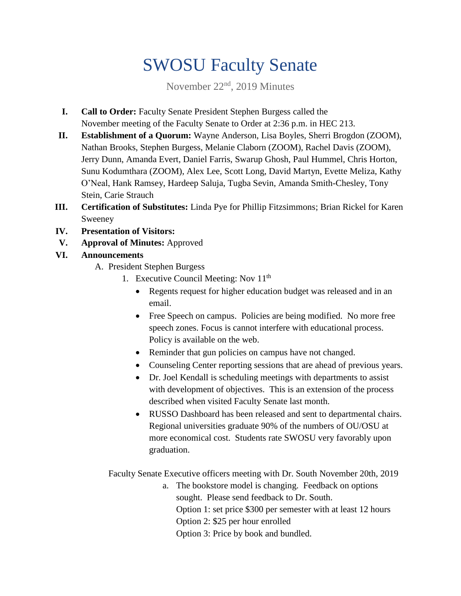# SWOSU Faculty Senate

November 22nd, 2019 Minutes

- **I. Call to Order:** Faculty Senate President Stephen Burgess called the November meeting of the Faculty Senate to Order at 2:36 p.m. in HEC 213.
- **II. Establishment of a Quorum:** Wayne Anderson, Lisa Boyles, Sherri Brogdon (ZOOM), Nathan Brooks, Stephen Burgess, Melanie Claborn (ZOOM), Rachel Davis (ZOOM), Jerry Dunn, Amanda Evert, Daniel Farris, Swarup Ghosh, Paul Hummel, Chris Horton, Sunu Kodumthara (ZOOM), Alex Lee, Scott Long, David Martyn, Evette Meliza, Kathy O'Neal, Hank Ramsey, Hardeep Saluja, Tugba Sevin, Amanda Smith-Chesley, Tony Stein, Carie Strauch
- **III. Certification of Substitutes:** Linda Pye for Phillip Fitzsimmons; Brian Rickel for Karen Sweeney
- **IV. Presentation of Visitors:**
- **V. Approval of Minutes:** Approved

### **VI. Announcements**

- A. President Stephen Burgess
	- 1. Executive Council Meeting: Nov 11<sup>th</sup>
		- Regents request for higher education budget was released and in an email.
		- Free Speech on campus. Policies are being modified. No more free speech zones. Focus is cannot interfere with educational process. Policy is available on the web.
		- Reminder that gun policies on campus have not changed.
		- Counseling Center reporting sessions that are ahead of previous years.
		- Dr. Joel Kendall is scheduling meetings with departments to assist with development of objectives. This is an extension of the process described when visited Faculty Senate last month.
		- RUSSO Dashboard has been released and sent to departmental chairs. Regional universities graduate 90% of the numbers of OU/OSU at more economical cost. Students rate SWOSU very favorably upon graduation.

Faculty Senate Executive officers meeting with Dr. South November 20th, 2019

a. The bookstore model is changing. Feedback on options sought. Please send feedback to Dr. South. Option 1: set price \$300 per semester with at least 12 hours Option 2: \$25 per hour enrolled Option 3: Price by book and bundled.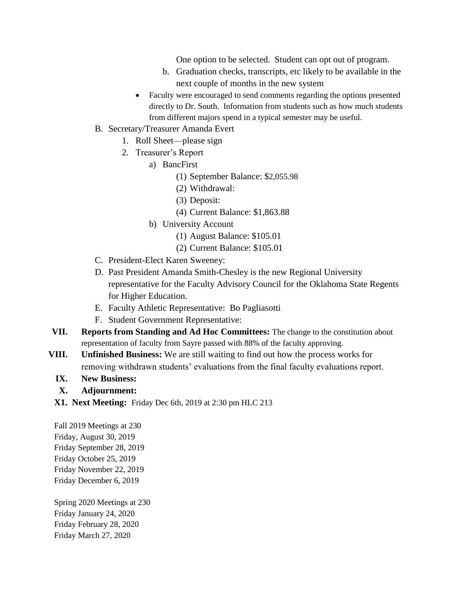One option to be selected. Student can opt out of program.

- b. Graduation checks, transcripts, etc likely to be available in the next couple of months in the new system
- Faculty were encouraged to send comments regarding the options presented directly to Dr. South. Information from students such as how much students from different majors spend in a typical semester may be useful.
- B. Secretary/Treasurer Amanda Evert
	- 1. Roll Sheet—please sign
	- 2. Treasurer's Report
		- a) BancFirst
			- (1) September Balance: \$2,055.98
			- (2) Withdrawal:
			- (3) Deposit:
			- (4) Current Balance: \$1,863.88
		- b) University Account
			- (1) August Balance: \$105.01
			- (2) Current Balance: \$105.01
- C. President-Elect Karen Sweeney:
- D. Past President Amanda Smith-Chesley is the new Regional University representative for the Faculty Advisory Council for the Oklahoma State Regents for Higher Education.
- E. Faculty Athletic Representative: Bo Pagliasotti
- F. Student Government Representative:
- **VII. Reports from Standing and Ad Hoc Committees:** The change to the constitution about representation of faculty from Sayre passed with 88% of the faculty approving.
- **VIII. Unfinished Business:** We are still waiting to find out how the process works for removing withdrawn students' evaluations from the final faculty evaluations report.
	- **IX. New Business:**

### **X. Adjournment:**

**X1. Next Meeting:** Friday Dec 6th, 2019 at 2:30 pm HLC 213

Fall 2019 Meetings at 230 Friday, August 30, 2019 Friday September 28, 2019 Friday October 25, 2019 Friday November 22, 2019 Friday December 6, 2019

Spring 2020 Meetings at 230 Friday January 24, 2020 Friday February 28, 2020 Friday March 27, 2020